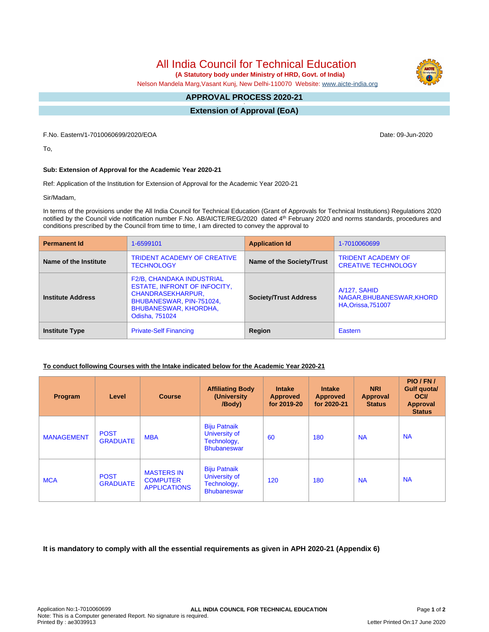All India Council for Technical Education

 **(A Statutory body under Ministry of HRD, Govt. of India)**

Nelson Mandela Marg,Vasant Kunj, New Delhi-110070 Website: [www.aicte-india.org](http://www.aicte-india.org)

#### **APPROVAL PROCESS 2020-21 -**

**Extension of Approval (EoA)**

F.No. Eastern/1-7010060699/2020/EOA Date: 09-Jun-2020

To,

## **Sub: Extension of Approval for the Academic Year 2020-21**

Ref: Application of the Institution for Extension of Approval for the Academic Year 2020-21

Sir/Madam,

In terms of the provisions under the All India Council for Technical Education (Grant of Approvals for Technical Institutions) Regulations 2020 notified by the Council vide notification number F.No. AB/AICTE/REG/2020 dated 4<sup>th</sup> February 2020 and norms standards, procedures and conditions prescribed by the Council from time to time, I am directed to convey the approval to

| <b>Permanent Id</b>      | 1-6599101                                                                                                                                                                         | <b>Application Id</b>        | 1-7010060699                                                           |  |
|--------------------------|-----------------------------------------------------------------------------------------------------------------------------------------------------------------------------------|------------------------------|------------------------------------------------------------------------|--|
| Name of the Institute    | <b>TRIDENT ACADEMY OF CREATIVE</b><br><b>TECHNOLOGY</b>                                                                                                                           | Name of the Society/Trust    | <b>TRIDENT ACADEMY OF</b><br><b>CREATIVE TECHNOLOGY</b>                |  |
| <b>Institute Address</b> | <b>F2/B, CHANDAKA INDUSTRIAL</b><br><b>ESTATE, INFRONT OF INFOCITY,</b><br><b>CHANDRASEKHARPUR,</b><br>BHUBANESWAR, PIN-751024,<br><b>BHUBANESWAR, KHORDHA,</b><br>Odisha, 751024 | <b>Society/Trust Address</b> | A/127, SAHID<br>NAGAR, BHUBANESWAR, KHORD<br><b>HA, Orissa, 751007</b> |  |
| <b>Institute Type</b>    | <b>Private-Self Financing</b>                                                                                                                                                     | Region                       | Eastern                                                                |  |

### **To conduct following Courses with the Intake indicated below for the Academic Year 2020-21**

| Program           | Level                          | <b>Course</b>                                               | <b>Affiliating Body</b><br>(University<br>/Body)                          | <b>Intake</b><br><b>Approved</b><br>for 2019-20 | <b>Intake</b><br><b>Approved</b><br>for 2020-21 | <b>NRI</b><br><b>Approval</b><br><b>Status</b> | PIO/FN/<br>Gulf quota/<br><b>OCI</b><br><b>Approval</b><br><b>Status</b> |
|-------------------|--------------------------------|-------------------------------------------------------------|---------------------------------------------------------------------------|-------------------------------------------------|-------------------------------------------------|------------------------------------------------|--------------------------------------------------------------------------|
| <b>MANAGEMENT</b> | <b>POST</b><br><b>GRADUATE</b> | <b>MBA</b>                                                  | <b>Biju Patnaik</b><br>University of<br>Technology,<br><b>Bhubaneswar</b> | 60                                              | 180                                             | <b>NA</b>                                      | <b>NA</b>                                                                |
| <b>MCA</b>        | <b>POST</b><br><b>GRADUATE</b> | <b>MASTERS IN</b><br><b>COMPUTER</b><br><b>APPLICATIONS</b> | <b>Biju Patnaik</b><br>University of<br>Technology,<br><b>Bhubaneswar</b> | 120                                             | 180                                             | <b>NA</b>                                      | <b>NA</b>                                                                |

**It is mandatory to comply with all the essential requirements as given in APH 2020-21 (Appendix 6)**